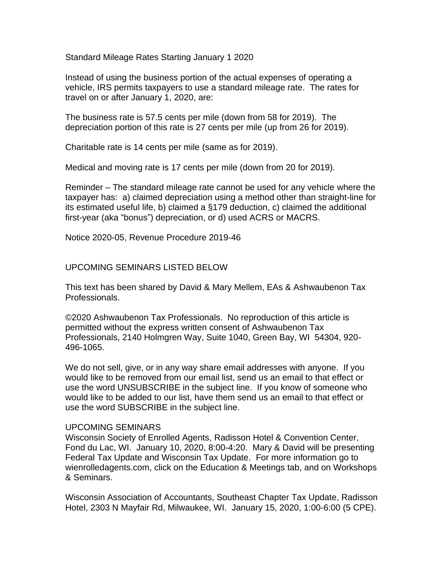Standard Mileage Rates Starting January 1 2020

Instead of using the business portion of the actual expenses of operating a vehicle, IRS permits taxpayers to use a standard mileage rate. The rates for travel on or after January 1, 2020, are:

The business rate is 57.5 cents per mile (down from 58 for 2019). The depreciation portion of this rate is 27 cents per mile (up from 26 for 2019).

Charitable rate is 14 cents per mile (same as for 2019).

Medical and moving rate is 17 cents per mile (down from 20 for 2019).

Reminder – The standard mileage rate cannot be used for any vehicle where the taxpayer has: a) claimed depreciation using a method other than straight-line for its estimated useful life, b) claimed a §179 deduction, c) claimed the additional first-year (aka "bonus") depreciation, or d) used ACRS or MACRS.

Notice 2020-05, Revenue Procedure 2019-46

## UPCOMING SEMINARS LISTED BELOW

This text has been shared by David & Mary Mellem, EAs & Ashwaubenon Tax Professionals.

©2020 Ashwaubenon Tax Professionals. No reproduction of this article is permitted without the express written consent of Ashwaubenon Tax Professionals, 2140 Holmgren Way, Suite 1040, Green Bay, WI 54304, 920- 496-1065.

We do not sell, give, or in any way share email addresses with anyone. If you would like to be removed from our email list, send us an email to that effect or use the word UNSUBSCRIBE in the subject line. If you know of someone who would like to be added to our list, have them send us an email to that effect or use the word SUBSCRIBE in the subject line.

## UPCOMING SEMINARS

Wisconsin Society of Enrolled Agents, Radisson Hotel & Convention Center, Fond du Lac, WI. January 10, 2020, 8:00-4:20. Mary & David will be presenting Federal Tax Update and Wisconsin Tax Update. For more information go to wienrolledagents.com, click on the Education & Meetings tab, and on Workshops & Seminars.

Wisconsin Association of Accountants, Southeast Chapter Tax Update, Radisson Hotel, 2303 N Mayfair Rd, Milwaukee, WI. January 15, 2020, 1:00-6:00 (5 CPE).